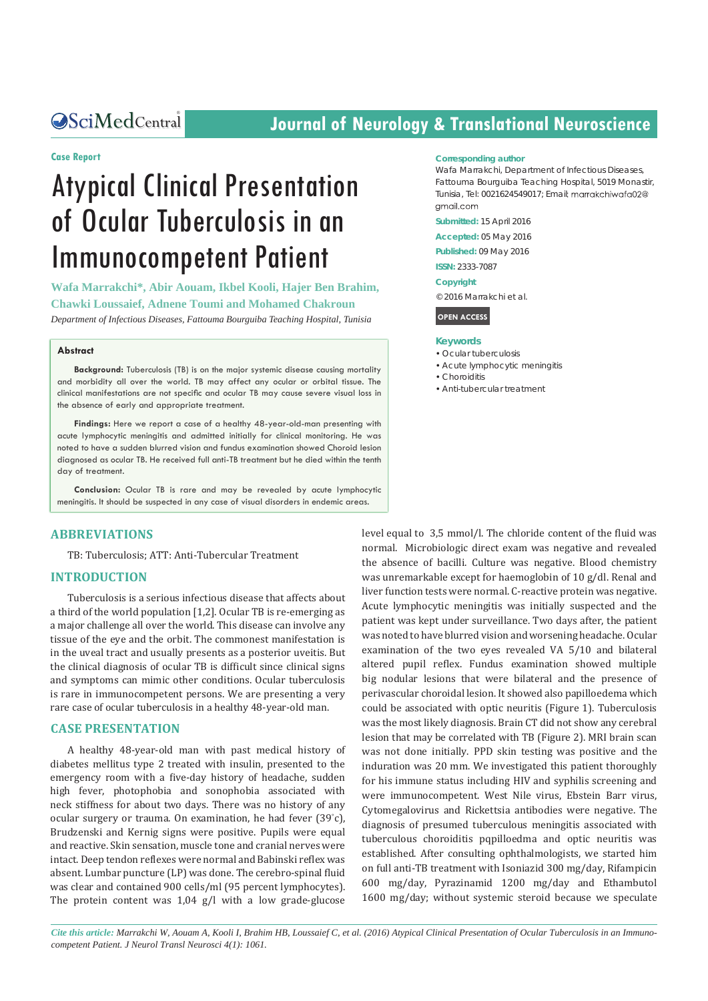Central

# **Journal of Neurology & Translational Neuroscience**

### **Case Report**

# Atypical Clinical Presentation of Ocular Tuberculosis in an Immunocompetent Patient

**Wafa Marrakchi\*, Abir Aouam, Ikbel Kooli, Hajer Ben Brahim, Chawki Loussaief, Adnene Toumi and Mohamed Chakroun** *Department of Infectious Diseases, Fattouma Bourguiba Teaching Hospital, Tunisia*

#### **Abstract**

**Background:** Tuberculosis (TB) is on the major systemic disease causing mortality and morbidity all over the world. TB may affect any ocular or orbital tissue. The clinical manifestations are not specific and ocular TB may cause severe visual loss in the absence of early and appropriate treatment.

**Findings:** Here we report a case of a healthy 48-year-old-man presenting with acute lymphocytic meningitis and admitted initially for clinical monitoring. He was noted to have a sudden blurred vision and fundus examination showed Choroid lesion diagnosed as ocular TB. He received full anti-TB treatment but he died within the tenth day of treatment.

**Conclusion:** Ocular TB is rare and may be revealed by acute lymphocytic meningitis. It should be suspected in any case of visual disorders in endemic areas.

## **ABBREVIATIONS**

TB: Tuberculosis; ATT: Anti-Tubercular Treatment

# **INTRODUCTION**

Tuberculosis is a serious infectious disease that affects about a third of the world population [1,2]. Ocular TB is re-emerging as a major challenge all over the world. This disease can involve any tissue of the eye and the orbit. The commonest manifestation is in the uveal tract and usually presents as a posterior uveitis. But the clinical diagnosis of ocular TB is difficult since clinical signs and symptoms can mimic other conditions. Ocular tuberculosis is rare in immunocompetent persons. We are presenting a very rare case of ocular tuberculosis in a healthy 48-year-old man.

# **CASE PRESENTATION**

A healthy 48-year-old man with past medical history of diabetes mellitus type 2 treated with insulin, presented to the emergency room with a five-day history of headache, sudden high fever, photophobia and sonophobia associated with neck stiffness for about two days. There was no history of any ocular surgery or trauma. On examination, he had fever (39° c), Brudzenski and Kernig signs were positive. Pupils were equal and reactive. Skin sensation, muscle tone and cranial nerves were intact. Deep tendon reflexes were normal and Babinski reflex was absent. Lumbar puncture (LP) was done. The cerebro-spinal fluid was clear and contained 900 cells/ml (95 percent lymphocytes). The protein content was 1,04 g/l with a low grade-glucose

#### **Corresponding author**

Wafa Marrakchi, Department of Infectious Diseases, Fattouma Bourguiba Teaching Hospital, 5019 Monastir, Tunisia, Tel: 0021624549017; Email amail com

**Submitted:** 15 April 2016

**Accepted:** 05 May 2016

**Published:** 09 May 2016

**ISSN:** 2333-7087

**Copyright**

© 2016 Marrakchi et al.

**OPEN ACCESS**

#### **Keywords**

- • Ocular tuberculosis
- • Acute lymphocytic meningitis
- • Choroiditis
- • Anti-tubercular treatment

level equal to 3,5 mmol/l. The chloride content of the fluid was normal. Microbiologic direct exam was negative and revealed the absence of bacilli. Culture was negative. Blood chemistry was unremarkable except for haemoglobin of 10 g/dl. Renal and liver function tests were normal. C-reactive protein was negative. Acute lymphocytic meningitis was initially suspected and the patient was kept under surveillance. Two days after, the patient was noted to have blurred vision and worsening headache. Ocular examination of the two eyes revealed VA 5/10 and bilateral altered pupil reflex. Fundus examination showed multiple big nodular lesions that were bilateral and the presence of perivascular choroidal lesion. It showed also papilloedema which could be associated with optic neuritis (Figure 1). Tuberculosis was the most likely diagnosis. Brain CT did not show any cerebral lesion that may be correlated with TB (Figure 2). MRI brain scan was not done initially. PPD skin testing was positive and the induration was 20 mm. We investigated this patient thoroughly for his immune status including HIV and syphilis screening and were immunocompetent. West Nile virus, Ebstein Barr virus, Cytomegalovirus and Rickettsia antibodies were negative. The diagnosis of presumed tuberculous meningitis associated with tuberculous choroiditis pqpilloedma and optic neuritis was established. After consulting ophthalmologists, we started him on full anti-TB treatment with Isoniazid 300 mg/day, Rifampicin 600 mg/day, Pyrazinamid 1200 mg/day and Ethambutol 1600 mg/day; without systemic steroid because we speculate

*Cite this article: Marrakchi W, Aouam A, Kooli I, Brahim HB, Loussaief C, et al. (2016) Atypical Clinical Presentation of Ocular Tuberculosis in an Immunocompetent Patient. J Neurol Transl Neurosci 4(1): 1061.*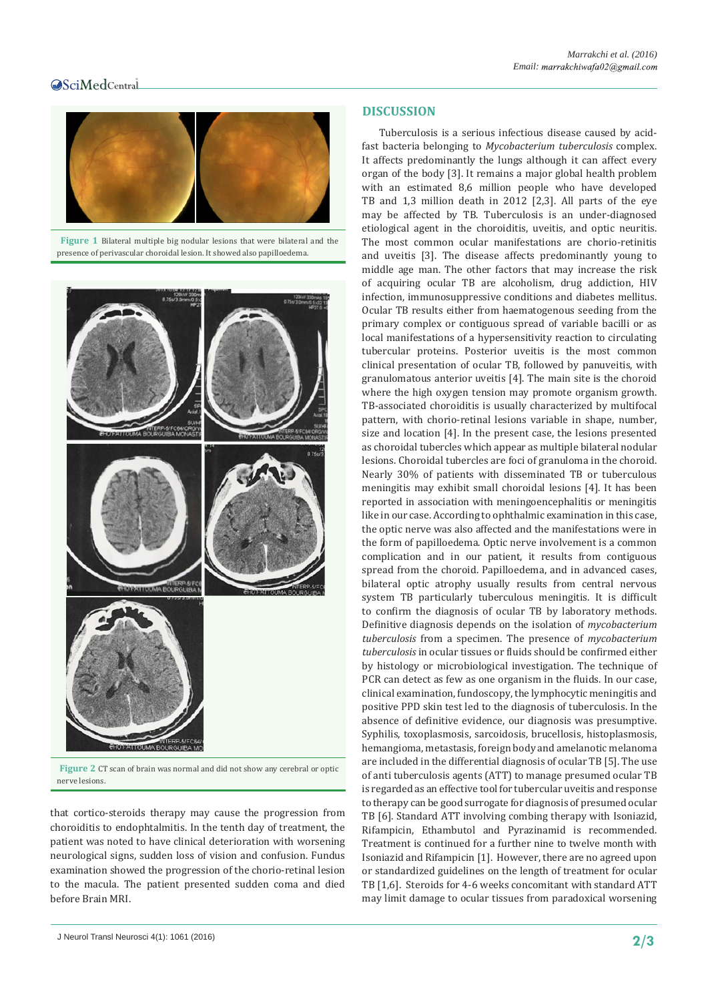# Central



 **Figure 1** Bilateral multiple big nodular lesions that were bilateral and the presence of perivascular choroidal lesion. It showed also papilloedema.



 **Figure 2** CT scan of brain was normal and did not show any cerebral or optic nerve lesions.

that cortico-steroids therapy may cause the progression from choroiditis to endophtalmitis. In the tenth day of treatment, the patient was noted to have clinical deterioration with worsening neurological signs, sudden loss of vision and confusion. Fundus examination showed the progression of the chorio-retinal lesion to the macula. The patient presented sudden coma and died before Brain MRI.

# J Neurol Transl Neurosci 4(1): 1061 (2016) **2/3**

# **DISCUSSION**

Tuberculosis is a serious infectious disease caused by acidfast bacteria belonging to *Mycobacterium tuberculosis* complex. It affects predominantly the lungs although it can affect every organ of the body [3]. It remains a major global health problem with an estimated 8,6 million people who have developed TB and 1,3 million death in 2012 [2,3]. All parts of the eye may be affected by TB. Tuberculosis is an under-diagnosed etiological agent in the choroiditis, uveitis, and optic neuritis. The most common ocular manifestations are chorio-retinitis and uveitis [3]. The disease affects predominantly young to middle age man. The other factors that may increase the risk of acquiring ocular TB are alcoholism, drug addiction, HIV infection, immunosuppressive conditions and diabetes mellitus. Ocular TB results either from haematogenous seeding from the primary complex or contiguous spread of variable bacilli or as local manifestations of a hypersensitivity reaction to circulating tubercular proteins. Posterior uveitis is the most common clinical presentation of ocular TB, followed by panuveitis, with granulomatous anterior uveitis [4]. The main site is the choroid where the high oxygen tension may promote organism growth. TB-associated choroiditis is usually characterized by multifocal pattern, with chorio-retinal lesions variable in shape, number, size and location [4]. In the present case, the lesions presented as choroidal tubercles which appear as multiple bilateral nodular lesions. Choroidal tubercles are foci of granuloma in the choroid. Nearly 30% of patients with disseminated TB or tuberculous meningitis may exhibit small choroidal lesions [4]. It has been reported in association with meningoencephalitis or meningitis like in our case. According to ophthalmic examination in this case, the optic nerve was also affected and the manifestations were in the form of papilloedema. Optic nerve involvement is a common complication and in our patient, it results from contiguous spread from the choroid. Papilloedema, and in advanced cases, bilateral optic atrophy usually results from central nervous system TB particularly tuberculous meningitis. It is difficult to confirm the diagnosis of ocular TB by laboratory methods. Definitive diagnosis depends on the isolation of *mycobacterium tuberculosis* from a specimen. The presence of *mycobacterium tuberculosis* in ocular tissues or fluids should be confirmed either by histology or microbiological investigation. The technique of PCR can detect as few as one organism in the fluids. In our case, clinical examination, fundoscopy, the lymphocytic meningitis and positive PPD skin test led to the diagnosis of tuberculosis. In the absence of definitive evidence, our diagnosis was presumptive. Syphilis, toxoplasmosis, sarcoidosis, brucellosis, histoplasmosis, hemangioma, metastasis, foreign body and amelanotic melanoma are included in the differential diagnosis of ocular TB [5]. The use of anti tuberculosis agents (ATT) to manage presumed ocular TB is regarded as an effective tool for tubercular uveitis and response to therapy can be good surrogate for diagnosis of presumed ocular TB [6]. Standard ATT involving combing therapy with Isoniazid, Rifampicin, Ethambutol and Pyrazinamid is recommended. Treatment is continued for a further nine to twelve month with Isoniazid and Rifampicin [1]. However, there are no agreed upon or standardized guidelines on the length of treatment for ocular TB [1,6]. Steroids for 4-6 weeks concomitant with standard ATT may limit damage to ocular tissues from paradoxical worsening